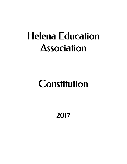# Helena Education Association

# **Constitution**

2017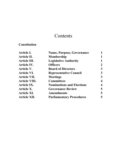# **Contents**

# **Constitution**

| <b>Article I.</b>    | <b>Name, Purpose, Governance</b> |   |
|----------------------|----------------------------------|---|
| <b>Article II.</b>   | <b>Membership</b>                |   |
| <b>Article III.</b>  | <b>Legislative Authority</b>     |   |
| <b>Article IV.</b>   | <b>Officers</b>                  |   |
| <b>Article V.</b>    | <b>Board of Directors</b>        | 3 |
| <b>Article VI.</b>   | <b>Representative Council</b>    |   |
| <b>Article VII.</b>  | <b>Meetings</b>                  |   |
| <b>Article VIII.</b> | <b>Committees</b>                |   |
| <b>Article IX.</b>   | <b>Nominations and Elections</b> |   |
| <b>Article X.</b>    | <b>Governance Review</b>         | 5 |
| <b>Article XI.</b>   | <b>Amendments</b>                | 5 |
| <b>Article XII.</b>  | <b>Parliamentary Procedures</b>  |   |
|                      |                                  |   |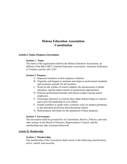# **Helena Education Association Constitution**

# **Article I. Name, Purpose, Governance**

### **Section 1. Name**

The name of the organization shall be the Helena Education Association, an affiliate of the MEA-MFT, National Education Association, American Federation of Teachers and the AFL-CIO.

### **Section 2. Purpose**

- A. Represent members in their employer relations.
- B. Negotiate and bargain to maintain and improve professional standards and economic security for all members.
- C. Work for the welfare of school children, the advancement of public education, and the improvement of instructional opportunities.
- D. Promote professional attitudes and ethical conduct among school employees.
- E. Encourage educators to exercise their rights and privileges as citizens and to provide leadership in civic affairs.
- F. Enable members to speak with a common voice on matters pertaining to the education profession and educational reform.
- G. Hold property and funds for the attainment of these purposes.

## **Section 3. Governance**

The association shall be governed by its Constitution, Bylaws, Policies, and such other actions as the Board of Directors, Representative Council, and the membership may take consistent therewith.

# **Article II. Membership**

#### **Section 1. Membership**

The membership of the Association shall consist of the following classifications: active, retired, and associate.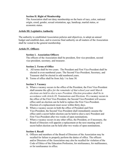# **Section II. Right of Membership**

The Association shall not deny membership on the basis of race, color, national origin, creed, gender, sexual orientation, age, handicap, martial status, or economic status.

# **Article III. Legislative Authority**

The authority to established Association policies and objectives, to adopt an annual budget and establish dues, and to exercise final authority on all matters of the Association shall be vested in the general membership.

# **Article IV. Officers**

# **Section 1. Association Officers**

The officers of the Association shall be president, first vice-president, second vice-president, secretary, and treasurer.

# **Section 2. Terms of Office**

- A. All terms shall be two years. The President and First Vice-President shall be elected in even numbered years. The Second Vice-President, Secretary, and Treasurer shall be elected in odd numbered years.
- B. Terms of office shall be from July 1 to June 30.

# **Section 3. Vacancy**

- A. When a vacancy occurs in the office of the President, the First Vice-President shall assume the *office for the remainder of that school year until March elections are held to elect a new President. Election procedure shall be in accordance with Article IX. Nominations and Elections.* If a vacancy occurs in the office of the First Vice-President, the Second Vice-President will assume office until an election can be held to replace the First Vice-President. Election of a replacement must occur within thirty days.
- B. When a vacancy occurs in both the office of President and First Vice-President, the Second Vice-President shall immediately assume the office until a secret ballot election can be held to elect a new President and First Vice-President after two weeks of open nominations.
- C. When a vacancy occurs in any other office, the President, or if necessary, the Board of Directors will appoint a replacement at the next meeting until a secret ballot election can be held after two weeks of open nominations.

## **Section 4. Recall**

A. Officers and members of the Board of Directors of the Association may be recalled for failure to properly perform the duties of office. The officers and/or Directors of the Association may also be recalled for violation of the Code of Ethics of the Education Profession, for misfeasance, for malfeasance, or for nonfeasance in office.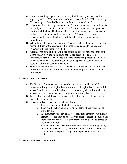- B. Recall proceedings against an officer may be initiated by written petition signed by at least 20% of members submitted to the Board of Directors or by 50% vote by the Board of Directors or Representative Council.
- C. After a recall petition is presented to the Board of Directors or a recall vote is passed by the Representative Council or Board of Directors, a due process hearing shall be held. The hearing shall be held no sooner than five days and no later than fifteen days after such action. A 2/3 vote of the Board of Directors shall sustain the charge, and the office shall become vacant immediately.
- D. When the recall vote of the Board of Directors declares the office vacant, the responsibilities of the vacated position shall be delegated to the Board of Directors until the vacancy is filled.
- E. Within seven days of the hearing, the officer or director may announce to the Board of Directors the intention to appeal the decision. The Board of Directors, in turn, will call a special general membership meeting to be held within seven days of the announcement of the appeal. At such meeting a secret ballot will be cast on the appeal.
- F. Should an elected officer or director be recalled, the Board of Directors shall proceed immediately to fill the vacancy in a manner prescribed in Article IX of the Bylaws.

# **Article V. Board of Directors**

- A. The Board of Directors shall consist of the Association officers and these Directors at Large: four high school (two from each high school), two middle school (one from each middle school), four elementary (from four different schools) and three paraeducators (from three different schools).
- B. Terms of office shall be two year terms with half of the Directors at Large being elected annually
- C. Directors at Large shall be elected as follows:
	- 1. Each high school shall elect two directors.
		- 2. Each middle school shall elect one director whose vote shall be weighted 1.5.
		- 3. All elementary teachers shall elect their four directors. A building primary election may be necessary in order to select a nominee. No more than one nominee per elementary building shall be placed on the election ballot.
		- 4. Paraeducators shall elect their three directors. A building primary election may be necessary in order to select a nominee. No more than one nominee per building shall be placed on the election ballot.

# **Article VI. Representative Council**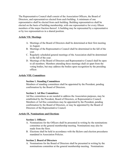The Representative Council shall consist of the Association Officers, the Board of Directors, and representatives elected from each building. A minimum of one representative shall be elected from each building. Building representatives shall be elected on the basis of building membership, with one representative for every fifteen members of the major fraction thereof. A building may be represented by a representative or by two representatives in a shared position.

# **Article VII. Meetings**

- A. Meetings of the Board of Directors shall be determined at their first meeting in August.
- B. Meetings of the Representative Council shall be determined in the fall of the year.
- C. Regularly scheduled general meetings of the Association shall be determined in the fall of the year.
- D. Meetings of the Board of Directors and Representative Council shall be open to all members. Members attending these meetings shall sit apart from the voting bodies, but may address the bodies upon recognition by the presiding officer.

# **Article VIII. Committees**

# **Section 1. Standing Committees**

Members of standing committees shall be appointed by the President, pending confirmation by the Board of Directors.

# **Section 2. Ad Hoc Committees**

Ad Hoc committees as are needed to address the Association purposes, may be established by the President, Board of Directors, or Representative Council. Members of Ad Hoc committees may be appointed by the President, pending confirmation by the Board of Directors, or may be appointed by the Board of Directors of the Representative Council.

# **Article IX. Nominations and Elections**

# **Section 1. Officers**

- A. Nominations for the Officers shall be presented in writing by the nominations committee at the general membership meeting. Nominations may also be made from the floor.
- B. Elections shall be held in accordance with the Bylaws and election procedures mandated in Association Policies.

# **Section 2. Board of Directors**

A. Nominations for the Board of Directors shall be presented in writing by the nominations committee at the general membership meeting. Nominations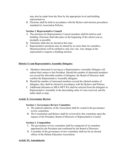may also be made from the floor by the appropriate level and building representatives.

B. Elections shall be held in accordance with the Bylaws and election procedures mandated in Association Policies.

# **Section 3. Representative Council**

- A. The elections for Representative Council members shall be held in each building. Elections shall take place at the beginning of the school year as promptly as possible.
- B. Alternates shall also be elected at this time.
- C. Representative positions may be shared by no more than two members. Shared positions will be entitled to only one vote. Any change in the representative requires a building election.

# **District 11 and Representative Assembly Delegates**

- A. Members interested in serving as a Representative Assembly Delegate will submit their names to the President. Should the number of interested members not exceed the allowable number of delegates, the Board of Directors shall confirm the Representative Assembly delegates.
- B. Should the number of interested members exceed the allotted number of delegates, they shall be elected in accordance with the Bylaws and Policies.
- C. Additional alternates to MEA-MFT RA shall be selected from the delegates to Representative Assembly in the descending order of votes received, and the ballot shall so state.

# **Article X. Governance Review**

# **Section 1. Governance Review Committee**

- A. The judicial authority of the Association shall be vested in the governance review committee.
- B. The Constitution and Bylaws shall be reviewed by this committee upon the request of the President, Board of Directors or Representative Council.

# **Section 2. Composition**

- C. The governance review committee shall be composed of six members appointed by the President and confirmed by the Board of Directors.
- D. A member of the governance review committee shall not be an elected officer of the Helena Education Association.

# **Article XI. Amendments**